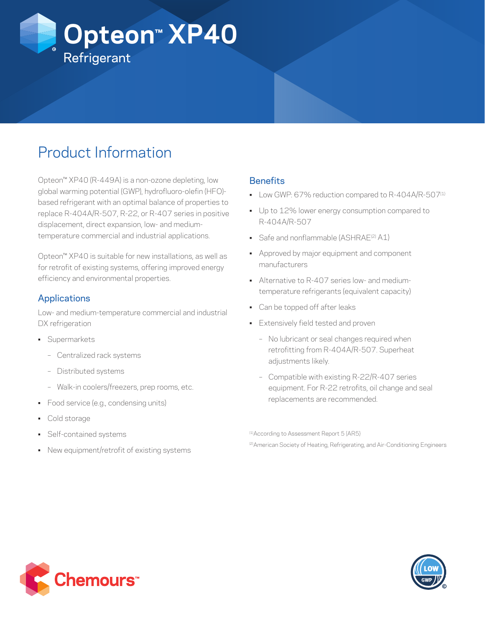

# Product Information

Opteon™ XP40 (R-449A) is a non-ozone depleting, low global warming potential (GWP), hydrofluoro-olefin (HFO) based refrigerant with an optimal balance of properties to replace R-404A/R-507, R-22, or R-407 series in positive displacement, direct expansion, low- and mediumtemperature commercial and industrial applications.

Opteon™ XP40 is suitable for new installations, as well as for retrofit of existing systems, offering improved energy efficiency and environmental properties.

## Applications

Low- and medium-temperature commercial and industrial DX refrigeration

- Supermarkets
	- Centralized rack systems
	- Distributed systems
	- Walk-in coolers/freezers, prep rooms, etc.
- Food service (e.g., condensing units)
- Cold storage
- Self-contained systems
- New equipment/retrofit of existing systems

### **Benefits**

- Low GWP: 67% reduction compared to R-404A/R-507<sup>(1)</sup>
- Up to 12% lower energy consumption compared to R-404A/R-507
- Safe and nonflammable (ASHRAE<sup>(2)</sup> A1)
- Approved by major equipment and component manufacturers
- Alternative to R-407 series low- and mediumtemperature refrigerants (equivalent capacity)
- Can be topped off after leaks
- Extensively field tested and proven
	- No lubricant or seal changes required when retrofitting from R-404A/R-507. Superheat adjustments likely.
	- Compatible with existing R-22/R-407 series equipment. For R-22 retrofits, oil change and seal replacements are recommended.

(1)According to Assessment Report 5 (AR5)

(2) American Society of Heating, Refrigerating, and Air-Conditioning Engineers